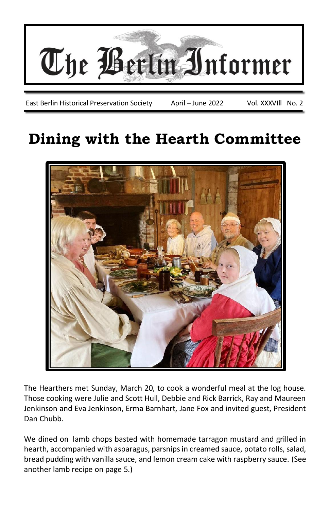

East Berlin Historical Preservation Society April – June 2022 Vol. XXXVIll No. 2

# **Dining with the Hearth Committee**



The Hearthers met Sunday, March 20, to cook a wonderful meal at the log house. Those cooking were Julie and Scott Hull, Debbie and Rick Barrick, Ray and Maureen Jenkinson and Eva Jenkinson, Erma Barnhart, Jane Fox and invited guest, President Dan Chubb.

We dined on lamb chops basted with homemade tarragon mustard and grilled in hearth, accompanied with asparagus, parsnips in creamed sauce, potato rolls, salad, bread pudding with vanilla sauce, and lemon cream cake with raspberry sauce. (See another lamb recipe on page 5.)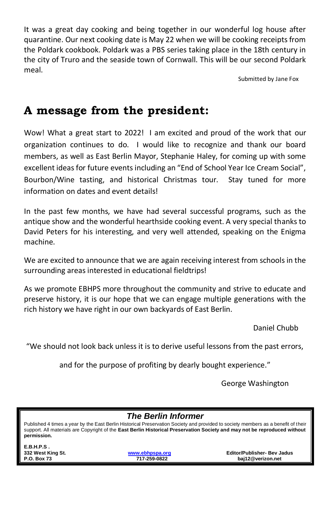It was a great day cooking and being together in our wonderful log house after quarantine. Our next cooking date is May 22 when we will be cooking receipts from the Poldark cookbook. Poldark was a PBS series taking place in the 18th century in the city of Truro and the seaside town of Cornwall. This will be our second Poldark meal.

Submitted by Jane Fox

## **A message from the president:**

Wow! What a great start to 2022! I am excited and proud of the work that our organization continues to do. I would like to recognize and thank our board members, as well as East Berlin Mayor, Stephanie Haley, for coming up with some excellent ideas for future events including an "End of School Year Ice Cream Social", Bourbon/Wine tasting, and historical Christmas tour. Stay tuned for more information on dates and event details!

In the past few months, we have had several successful programs, such as the antique show and the wonderful hearthside cooking event. A very special thanks to David Peters for his interesting, and very well attended, speaking on the Enigma machine.

We are excited to announce that we are again receiving interest from schools in the surrounding areas interested in educational fieldtrips!

As we promote EBHPS more throughout the community and strive to educate and preserve history, it is our hope that we can engage multiple generations with the rich history we have right in our own backyards of East Berlin.

Daniel Chubb

"We should not look back unless it is to derive useful lessons from the past errors,

and for the purpose of profiting by dearly bought experience."

George Washington

#### *The Berlin Informer*

Published 4 times a year by the East Berlin Historical Preservation Society and provided to society members as a benefit of their support. All materials are Copyright of the **East Berlin Historical Preservation Society and may not be reproduced without permission.**

| E.B.H.P.S.         |                 |                                    |
|--------------------|-----------------|------------------------------------|
| 332 West King St.  | www.ebhpspa.org | <b>Editor/Publisher- Bev Jadus</b> |
| <b>P.O. Box 73</b> | 717-259-0822    | bai12@verizon.net                  |
|                    |                 |                                    |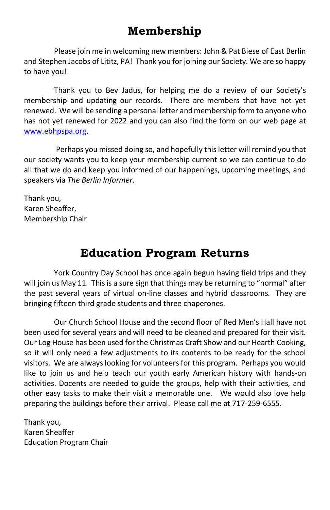## **Membership**

Please join me in welcoming new members: John & Pat Biese of East Berlin and Stephen Jacobs of Lititz, PA! Thank you for joining our Society. We are so happy to have you!

Thank you to Bev Jadus, for helping me do a review of our Society's membership and updating our records. There are members that have not yet renewed. We will be sending a personal letter and membership form to anyone who has not yet renewed for 2022 and you can also find the form on our web page at [www.ebhpspa.org.](http://www.ebhpspa.org/)

Perhaps you missed doing so, and hopefully this letter will remind you that our society wants you to keep your membership current so we can continue to do all that we do and keep you informed of our happenings, upcoming meetings, and speakers via *The Berlin Informer*.

Thank you, Karen Sheaffer, Membership Chair

# **Education Program Returns**

York Country Day School has once again begun having field trips and they will join us May 11. This is a sure sign that things may be returning to "normal" after the past several years of virtual on-line classes and hybrid classrooms. They are bringing fifteen third grade students and three chaperones.

Our Church School House and the second floor of Red Men's Hall have not been used for several years and will need to be cleaned and prepared for their visit. Our Log House has been used for the Christmas Craft Show and our Hearth Cooking, so it will only need a few adjustments to its contents to be ready for the school visitors. We are always looking for volunteers for this program. Perhaps you would like to join us and help teach our youth early American history with hands-on activities. Docents are needed to guide the groups, help with their activities, and other easy tasks to make their visit a memorable one. We would also love help preparing the buildings before their arrival. Please call me at 717-259-6555.

Thank you, Karen Sheaffer Education Program Chair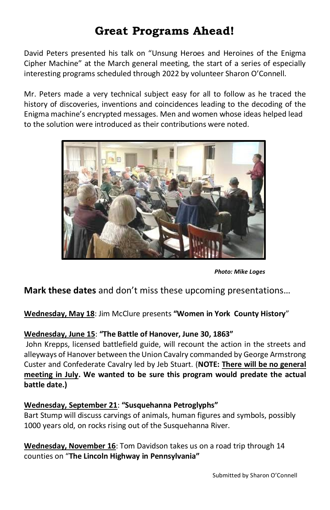# **Great Programs Ahead!**

David Peters presented his talk on "Unsung Heroes and Heroines of the Enigma Cipher Machine" at the March general meeting, the start of a series of especially interesting programs scheduled through 2022 by volunteer Sharon O'Connell.

Mr. Peters made a very technical subject easy for all to follow as he traced the history of discoveries, inventions and coincidences leading to the decoding of the Enigma machine's encrypted messages. Men and women whose ideas helped lead to the solution were introduced as their contributions were noted.



*Photo: Mike Loges*

**Mark these dates** and don't miss these upcoming presentations…

**Wednesday, May 18**: Jim McClure presents **"Women in York County History**"

#### **Wednesday, June 15**: **"The Battle of Hanover, June 30, 1863"**

John Krepps, licensed battlefield guide, will recount the action in the streets and alleyways of Hanover between the Union Cavalry commanded by George Armstrong Custer and Confederate Cavalry led by Jeb Stuart. (**NOTE: There will be no general meeting in July. We wanted to be sure this program would predate the actual battle date.)**

#### **Wednesday, September 21**: **"Susquehanna Petroglyphs"**

Bart Stump will discuss carvings of animals, human figures and symbols, possibly 1000 years old, on rocks rising out of the Susquehanna River.

**Wednesday, November 16**: Tom Davidson takes us on a road trip through 14 counties on "**The Lincoln Highway in Pennsylvania"**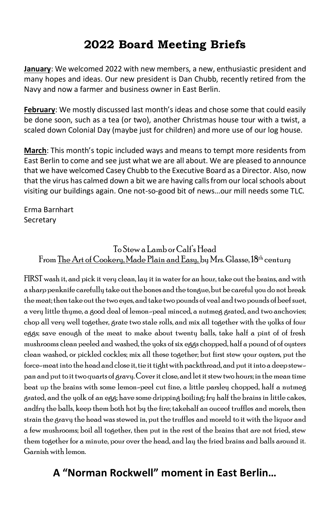# **2022 Board Meeting Briefs**

**January**: We welcomed 2022 with new members, a new, enthusiastic president and many hopes and ideas. Our new president is Dan Chubb, recently retired from the Navy and now a farmer and business owner in East Berlin.

**February**: We mostly discussed last month's ideas and chose some that could easily be done soon, such as a tea (or two), another Christmas house tour with a twist, a scaled down Colonial Day (maybe just for children) and more use of our log house.

**March**: This month's topic included ways and means to tempt more residents from East Berlin to come and see just what we are all about. We are pleased to announce that we have welcomed Casey Chubb to the Executive Board as a Director. Also, now that the virus has calmed down a bit we are having calls from our local schools about visiting our buildings again. One not-so-good bit of news…our mill needs some TLC.

Erma Barnhart **Secretary** 

## To Stew a Lamb or Calf's Head From The Art of Cookery, Made Plain and Easy, by Mrs. Glasse, 18<sup>th</sup> century

FIRST wash it, and pick it very clean, lay it in water for an hour, take out the brains, and with a sharp penknife carefully take out the bones and the tongue, but be careful you do not break the meat; then take out the two eyes, and take two pounds of veal and two pounds of beef suet, a very little thyme, a good deal of lemon-peal minced, a nutmeg grated, and two anchovies; chop all very well together, grate two stale rolls, and mix all together with the yolks of four eggs; save enough of the meat to make about twenty balls, take half a pint of of fresh mushrooms clean peeled and washed, the yoks of six eggs chopped, half a pound of of oysters clean washed, or pickled cockles; mix all these together; but first stew your oysters, put the force-meat into the head and close it, tie it tight with packthread, and put it into a deep stewpan and put to it two quarts of gravy. Cover it close, and let it stew two hours; in the mean time beat up the brains with some lemon-peel cut fine, a little parsley chopped, half a nutmeg grated, and the yolk of an egg; have some dripping boiling; fry half the brains in little cakes, andfry the balls, keep them both hot by the fire; takehalf an ouceof truffles and morels, then strain the gravy the head was stewed in, put the truffles and moreld to it with the liquor and a few mushrooms; boil all together, then put in the rest of the brains that are not fried, stew them together for a minute, pour over the head, and lay the fried brains and balls around it. Garnish with lemon.

## **A "Norman Rockwell" moment in East Berlin…**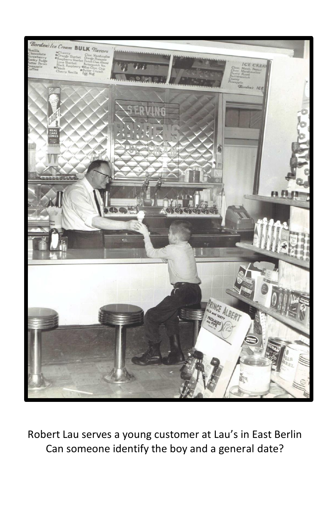

Robert Lau serves a young customer at Lau's in East Berlin Can someone identify the boy and a general date?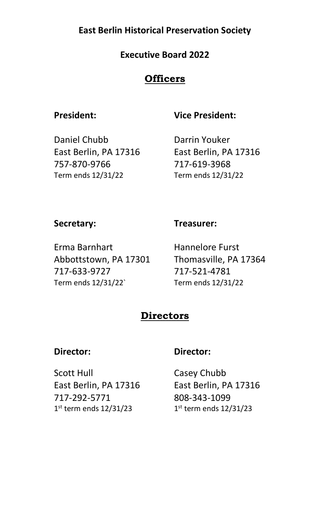## **East Berlin Historical Preservation Society**

### **Executive Board 2022**

## **Officers**

### **President: Vice President:**

Daniel Chubb Darrin Youker East Berlin, PA 17316 East Berlin, PA 17316 757-870-9766 717-619-3968 Term ends 12/31/22 Term ends 12/31/22

#### **Secretary: Treasurer:**

Erma Barnhart Hannelore Furst Abbottstown, PA 17301 Thomasville, PA 17364 717-633-9727 717-521-4781 Term ends 12/31/22` Term ends 12/31/22

## **Directors**

### **Director: Director:**

Scott Hull Casey Chubb East Berlin, PA 17316 East Berlin, PA 17316 717-292-5771 808-343-1099 1<sup>st</sup> term ends 12/31/23 1

 $1<sup>st</sup>$  term ends  $12/31/23$